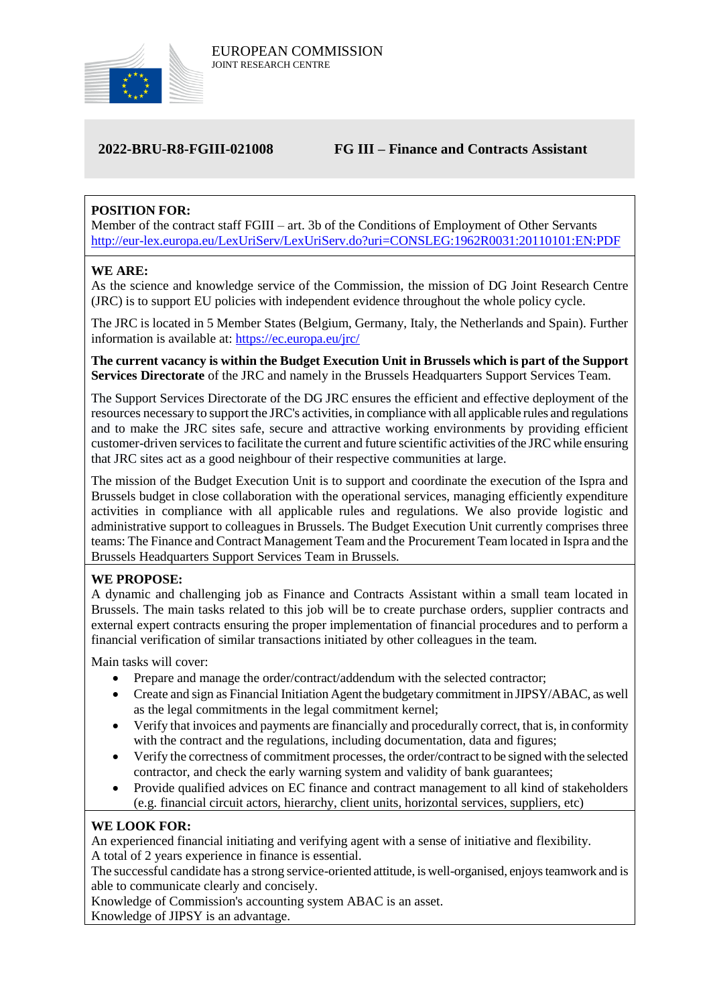

# **2022-BRU-R8-FGIII-021008 FG III – Finance and Contracts Assistant**

# **POSITION FOR:**

Member of the contract staff FGIII – art. 3b of the Conditions of Employment of Other Servants <http://eur-lex.europa.eu/LexUriServ/LexUriServ.do?uri=CONSLEG:1962R0031:20110101:EN:PDF>

# **WE ARE:**

As the science and knowledge service of the Commission, the mission of DG Joint Research Centre (JRC) is to support EU policies with independent evidence throughout the whole policy cycle.

The JRC is located in 5 Member States (Belgium, Germany, Italy, the Netherlands and Spain). Further information is available at: <https://ec.europa.eu/jrc/>

**The current vacancy is within the Budget Execution Unit in Brussels which is part of the Support Services Directorate** of the JRC and namely in the Brussels Headquarters Support Services Team.

The Support Services Directorate of the DG JRC ensures the efficient and effective deployment of the resources necessary to support the JRC's activities, in compliance with all applicable rules and regulations and to make the JRC sites safe, secure and attractive working environments by providing efficient customer-driven services to facilitate the current and future scientific activities of the JRC while ensuring that JRC sites act as a good neighbour of their respective communities at large.

The mission of the Budget Execution Unit is to support and coordinate the execution of the Ispra and Brussels budget in close collaboration with the operational services, managing efficiently expenditure activities in compliance with all applicable rules and regulations. We also provide logistic and administrative support to colleagues in Brussels. The Budget Execution Unit currently comprises three teams: The Finance and Contract Management Team and the Procurement Team located in Ispra and the Brussels Headquarters Support Services Team in Brussels.

# **WE PROPOSE:**

A dynamic and challenging job as Finance and Contracts Assistant within a small team located in Brussels. The main tasks related to this job will be to create purchase orders, supplier contracts and external expert contracts ensuring the proper implementation of financial procedures and to perform a financial verification of similar transactions initiated by other colleagues in the team.

Main tasks will cover:

- Prepare and manage the order/contract/addendum with the selected contractor;
- Create and sign as Financial Initiation Agent the budgetary commitment in JIPSY/ABAC, as well as the legal commitments in the legal commitment kernel;
- Verify that invoices and payments are financially and procedurally correct, that is, in conformity with the contract and the regulations, including documentation, data and figures;
- Verify the correctness of commitment processes, the order/contract to be signed with the selected contractor, and check the early warning system and validity of bank guarantees;
- Provide qualified advices on EC finance and contract management to all kind of stakeholders (e.g. financial circuit actors, hierarchy, client units, horizontal services, suppliers, etc)

### **WE LOOK FOR:**

An experienced financial initiating and verifying agent with a sense of initiative and flexibility. A total of 2 years experience in finance is essential.

The successful candidate has a strong service-oriented attitude, is well-organised, enjoys teamwork and is able to communicate clearly and concisely.

Knowledge of Commission's accounting system ABAC is an asset. Knowledge of JIPSY is an advantage.